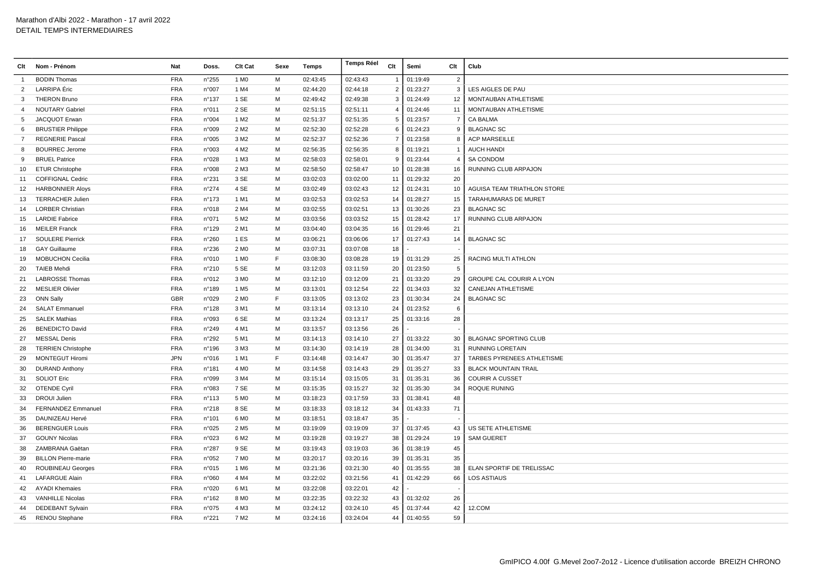| Clt            | Nom - Prénom               | Nat        | Doss.           | <b>Clt Cat</b>   | Sexe | Temps    | Temps Réel | Clt            | Semi     | Clt             | Club                         |
|----------------|----------------------------|------------|-----------------|------------------|------|----------|------------|----------------|----------|-----------------|------------------------------|
| -1             | <b>BODIN Thomas</b>        | <b>FRA</b> | n°255           | 1 M <sub>0</sub> | м    | 02:43:45 | 02:43:43   | $\mathbf{1}$   | 01:19:49 | $\overline{2}$  |                              |
| 2              | LARRIPA Éric               | <b>FRA</b> | n°007           | 1 M4             | м    | 02:44:20 | 02:44:18   | 2              | 01:23:27 | $\mathbf{3}$    | LES AIGLES DE PAU            |
| 3              | <b>THERON Bruno</b>        | <b>FRA</b> | $n^{\circ}$ 137 | 1 SE             | м    | 02:49:42 | 02:49:38   | 3              | 01:24:49 | 12              | MONTAUBAN ATHLETISME         |
| 4              | <b>NOUTARY Gabriel</b>     | <b>FRA</b> | n°011           | 2 SE             | м    | 02:51:15 | 02:51:11   | 4              | 01:24:46 | 11              | MONTAUBAN ATHLETISME         |
| 5              | JACQUOT Erwan              | <b>FRA</b> | n°004           | 1 M <sub>2</sub> | м    | 02:51:37 | 02:51:35   | 5              | 01:23:57 | $\overline{7}$  | CA BALMA                     |
| 6              | <b>BRUSTIER Philippe</b>   | <b>FRA</b> | n°009           | 2 M <sub>2</sub> | M    | 02:52:30 | 02:52:28   | 6              | 01:24:23 | 9               | <b>BLAGNAC SC</b>            |
| $\overline{7}$ | <b>REGNERIE Pascal</b>     | <b>FRA</b> | n°005           | 3 M <sub>2</sub> | м    | 02:52:37 | 02:52:36   | $\overline{7}$ | 01:23:58 | 8               | <b>ACP MARSEILLE</b>         |
| 8              | <b>BOURREC Jerome</b>      | <b>FRA</b> | n°003           | 4 M <sub>2</sub> | м    | 02:56:35 | 02:56:35   | 8              | 01:19:21 | $\overline{1}$  | <b>AUCH HANDI</b>            |
| 9              | <b>BRUEL Patrice</b>       | <b>FRA</b> | n°028           | 1 M3             | м    | 02:58:03 | 02:58:01   | 9              | 01:23:44 | $\overline{4}$  | <b>SA CONDOM</b>             |
| 10             | <b>ETUR Christophe</b>     | <b>FRA</b> | n°008           | 2 M3             | М    | 02:58:50 | 02:58:47   | 10             | 01:28:38 | 16              | RUNNING CLUB ARPAJON         |
| 11             | <b>COFFIGNAL Cedric</b>    | <b>FRA</b> | n°231           | 3 SE             | м    | 03:02:03 | 03:02:00   | 11             | 01:29:32 | 20              |                              |
| 12             | <b>HARBONNIER Aloys</b>    | <b>FRA</b> | n°274           | 4 SE             | M    | 03:02:49 | 03:02:43   | 12             | 01:24:31 | 10              | AGUISA TEAM TRIATHLON STORE  |
| 13             | <b>TERRACHER Julien</b>    | <b>FRA</b> | n°173           | 1 M1             | M    | 03:02:53 | 03:02:53   | 14             | 01:28:27 | 15              | TARAHUMARAS DE MURET         |
| 14             | <b>LORBER Christian</b>    | <b>FRA</b> | n°018           | 2 M4             | м    | 03:02:55 | 03:02:51   | 13             | 01:30:26 | 23              | <b>BLAGNAC SC</b>            |
| 15             | <b>LARDIE Fabrice</b>      | <b>FRA</b> | n°071           | 5 M <sub>2</sub> | M    | 03:03:56 | 03:03:52   | 15             | 01:28:42 | 17              | RUNNING CLUB ARPAJON         |
| 16             | <b>MEILER Franck</b>       | <b>FRA</b> | n°129           | 2 M1             | м    | 03:04:40 | 03:04:35   | 16             | 01:29:46 | 21              |                              |
| 17             | <b>SOULERE Pierrick</b>    | <b>FRA</b> | n°260           | 1 ES             | м    | 03:06:21 | 03:06:06   | 17             | 01:27:43 | 14              | <b>BLAGNAC SC</b>            |
| 18             | <b>GAY Guillaume</b>       | <b>FRA</b> | n°236           | 2 M <sub>0</sub> | M    | 03:07:31 | 03:07:08   | 18             |          |                 |                              |
| 19             | <b>MOBUCHON Cecilia</b>    | <b>FRA</b> | n°010           | 1 M <sub>0</sub> | E    | 03:08:30 | 03:08:28   | 19             | 01:31:29 | 25              | RACING MULTI ATHLON          |
| 20             | <b>TAIEB Mehdi</b>         | <b>FRA</b> | n°210           | 5 SE             | м    | 03:12:03 | 03:11:59   | 20             | 01:23:50 | $5\phantom{.0}$ |                              |
| 21             | <b>LABROSSE Thomas</b>     | <b>FRA</b> | n°012           | 3 M <sub>0</sub> | м    | 03:12:10 | 03:12:09   | 21             | 01:33:20 | 29              | GROUPE CAL COURIR A LYON     |
| 22             | <b>MESLIER Olivier</b>     | <b>FRA</b> | n°189           | 1 M <sub>5</sub> | м    | 03:13:01 | 03:12:54   | 22             | 01:34:03 | 32              | CANEJAN ATHLETISME           |
| 23             | <b>ONN Sally</b>           | <b>GBR</b> | n°029           | 2 M <sub>0</sub> | F    | 03:13:05 | 03:13:02   | 23             | 01:30:34 | 24              | <b>BLAGNAC SC</b>            |
| 24             | <b>SALAT Emmanuel</b>      | <b>FRA</b> | n°128           | 3 M1             | м    | 03:13:14 | 03:13:10   | 24             | 01:23:52 | 6               |                              |
| 25             | <b>SALEK Mathias</b>       | <b>FRA</b> | n°093           | 6 SE             | M    | 03:13:24 | 03:13:17   | 25             | 01:33:16 | 28              |                              |
| 26             | <b>BENEDICTO David</b>     | <b>FRA</b> | n°249           | 4 M1             | м    | 03:13:57 | 03:13:56   | 26             |          |                 |                              |
| 27             | <b>MESSAL Denis</b>        | <b>FRA</b> | n°292           | 5 M1             | м    | 03:14:13 | 03:14:10   | 27             | 01:33:22 | 30              | <b>BLAGNAC SPORTING CLUB</b> |
| 28             | <b>TERRIEN Christophe</b>  | <b>FRA</b> | n°196           | 3 M3             | M    | 03:14:30 | 03:14:19   | 28             | 01:34:00 | 31              | <b>RUNNING LORETAIN</b>      |
| 29             | <b>MONTEGUT Hiromi</b>     | <b>JPN</b> | n°016           | 1 M1             | F    | 03:14:48 | 03:14:47   | 30             | 01:35:47 | 37              | TARBES PYRENEES ATHLETISME   |
| 30             | <b>DURAND Anthony</b>      | <b>FRA</b> | n°181           | 4 M <sub>0</sub> | м    | 03:14:58 | 03:14:43   | 29             | 01:35:27 | 33              | <b>BLACK MOUNTAIN TRAIL</b>  |
| 31             | <b>SOLIOT Eric</b>         | <b>FRA</b> | n°099           | 3 M4             | м    | 03:15:14 | 03:15:05   | 31             | 01:35:31 | 36              | <b>COURIR A CUSSET</b>       |
| 32             | <b>OTENDE Cyril</b>        | <b>FRA</b> | n°083           | 7 SE             | м    | 03:15:35 | 03:15:27   | 32             | 01:35:30 | 34              | <b>ROQUE RUNING</b>          |
| 33             | <b>DROUI Julien</b>        | <b>FRA</b> | n°113           | 5 M <sub>0</sub> | м    | 03:18:23 | 03:17:59   | 33             | 01:38:41 | 48              |                              |
| 34             | <b>FERNANDEZ Emmanuel</b>  | <b>FRA</b> | n°218           | 8 SE             | м    | 03:18:33 | 03:18:12   | 34             | 01:43:33 | 71              |                              |
| 35             | DAUNIZEAU Hervé            | <b>FRA</b> | $n^{\circ}$ 101 | 6 M <sub>0</sub> | M    | 03:18:51 | 03:18:47   | 35             |          |                 |                              |
| 36             | <b>BERENGUER Louis</b>     | <b>FRA</b> | n°025           | 2 M <sub>5</sub> | м    | 03:19:09 | 03:19:09   | 37             | 01:37:45 | 43              | US SETE ATHLETISME           |
| 37             | <b>GOUNY Nicolas</b>       | <b>FRA</b> | n°023           | 6 M <sub>2</sub> | М    | 03:19:28 | 03:19:27   | 38             | 01:29:24 | 19              | <b>SAM GUERET</b>            |
| 38             | ZAMBRANA Gaëtan            | <b>FRA</b> | n°287           | 9 SE             | м    | 03:19:43 | 03:19:03   | 36             | 01:38:19 | 45              |                              |
| 39             | <b>BILLON Pierre-marie</b> | <b>FRA</b> | n°052           | 7 M <sub>0</sub> | M    | 03:20:17 | 03:20:16   | 39             | 01:35:31 | 35              |                              |
| 40             | <b>ROUBINEAU Georges</b>   | <b>FRA</b> | n°015           | 1 M <sub>6</sub> | M    | 03:21:36 | 03:21:30   | 40             | 01:35:55 | 38              | ELAN SPORTIF DE TRELISSAC    |
| 41             | <b>LAFARGUE Alain</b>      | <b>FRA</b> | n°060           | 4 M4             | м    | 03:22:02 | 03:21:56   | 41             | 01:42:29 | 66              | <b>LOS ASTIAUS</b>           |
| 42             | <b>AYADI Khemaies</b>      | <b>FRA</b> | n°020           | 6 M1             | м    | 03:22:08 | 03:22:01   | 42             |          |                 |                              |
| 43             | <b>VANHILLE Nicolas</b>    | <b>FRA</b> | $n^{\circ}162$  | 8 MO             | м    | 03:22:35 | 03:22:32   | 43             | 01:32:02 | 26              |                              |
| 44             | <b>DEDEBANT Sylvain</b>    | <b>FRA</b> | n°075           | 4 M3             | м    | 03:24:12 | 03:24:10   | 45             | 01:37:44 | 42              | 12.COM                       |
|                | 45 RENOU Stephane          | <b>FRA</b> | n°221           | 7 M <sub>2</sub> | M    | 03:24:16 | 03:24:04   | 44             | 01:40:55 | 59              |                              |
|                |                            |            |                 |                  |      |          |            |                |          |                 |                              |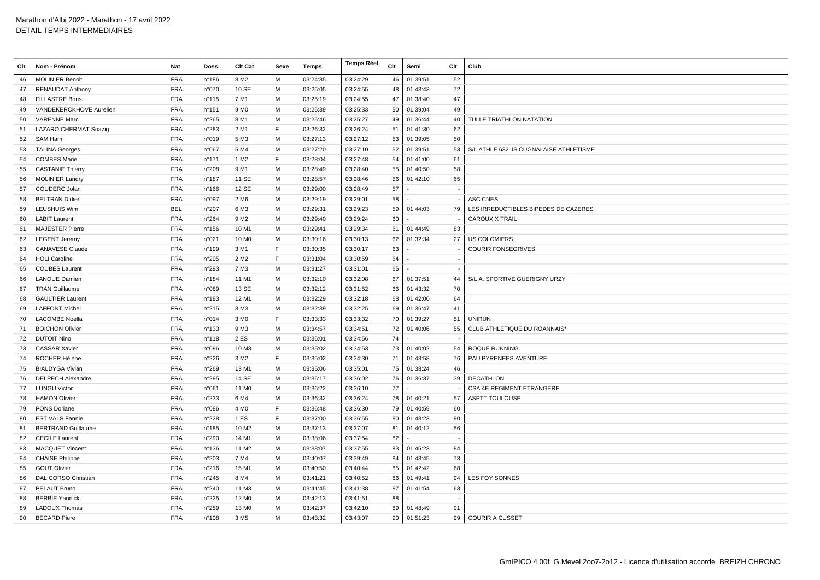## Marathon d'Albi 2022 - Marathon - 17 avril 2022 DETAIL TEMPS INTERMEDIAIRES

| Clt | Nom - Prénom              | Nat        | Doss.           | Clt Cat           | Sexe | Temps    | <b>Temps Réel</b> | Clt | Semi     | Clt                      | Club                                   |
|-----|---------------------------|------------|-----------------|-------------------|------|----------|-------------------|-----|----------|--------------------------|----------------------------------------|
| 46  | <b>MOLINIER Benoit</b>    | <b>FRA</b> | n°186           | 8 M <sub>2</sub>  | M    | 03:24:35 | 03:24:29          | 46  | 01:39:51 | 52                       |                                        |
| 47  | <b>RENAUDAT Anthony</b>   | <b>FRA</b> | n°070           | 10 SE             | М    | 03:25:05 | 03:24:55          | 48  | 01:43:43 | 72                       |                                        |
| 48  | <b>FILLASTRE Boris</b>    | <b>FRA</b> | n°115           | 7 M1              | M    | 03:25:19 | 03:24:55          | 47  | 01:38:40 | 47                       |                                        |
| 49  | VANDEKERCKHOVE Aurelien   | <b>FRA</b> | n°151           | 9 M <sub>0</sub>  | M    | 03:25:39 | 03:25:33          | 50  | 01:39:04 | 49                       |                                        |
| 50  | <b>VARENNE Marc</b>       | <b>FRA</b> | n°265           | 8 M1              | M    | 03:25:46 | 03:25:27          | 49  | 01:36:44 | 40                       | TULLE TRIATHLON NATATION               |
| 51  | LAZARO CHERMAT Soazig     | <b>FRA</b> | n°283           | 2 M1              | F    | 03:26:32 | 03:26:24          | 51  | 01:41:30 | 62                       |                                        |
| 52  | SAM Ham                   | <b>FRA</b> | n°019           | 5 M3              | M    | 03:27:13 | 03:27:12          | 53  | 01:39:05 | 50                       |                                        |
| 53  | <b>TALINA Georges</b>     | <b>FRA</b> | n°067           | 5 M4              | M    | 03:27:20 | 03:27:10          | 52  | 01:39:51 | 53                       | S/L ATHLE 632 JS CUGNALAISE ATHLETISME |
| 54  | <b>COMBES Marie</b>       | <b>FRA</b> | n°171           | 1 M <sub>2</sub>  | F    | 03:28:04 | 03:27:48          | 54  | 01:41:00 | 61                       |                                        |
| 55  | <b>CASTANIE Thierry</b>   | <b>FRA</b> | n°208           | 9 M1              | M    | 03:28:49 | 03:28:40          | 55  | 01:40:50 | 58                       |                                        |
| 56  | <b>MOLINIER Landry</b>    | <b>FRA</b> | n°187           | 11 SE             | M    | 03:28:57 | 03:28:46          | 56  | 01:42:10 | 65                       |                                        |
| 57  | COUDERC Jolan             | <b>FRA</b> | n°166           | 12 SE             | M    | 03:29:00 | 03:28:49          | 57  |          |                          |                                        |
| 58  | <b>BELTRAN Didier</b>     | <b>FRA</b> | n°097           | 2 M <sub>6</sub>  | M    | 03:29:19 | 03:29:01          | 58  |          |                          | <b>ASC CNES</b>                        |
| 59  | <b>LEUSHUIS Wim</b>       | <b>BEL</b> | n°207           | 6 M3              | M    | 03:29:31 | 03:29:23          | 59  | 01:44:03 | 79                       | LES IRREDUCTIBLES BIPEDES DE CAZERES   |
| 60  | <b>LABIT Laurent</b>      | <b>FRA</b> | n°264           | 9 M <sub>2</sub>  | M    | 03:29:40 | 03:29:24          | 60  |          |                          | <b>CAROUX X TRAIL</b>                  |
| 61  | <b>MAJESTER Pierre</b>    | <b>FRA</b> | n°156           | 10 M1             | M    | 03:29:41 | 03:29:34          | 61  | 01:44:49 | 83                       |                                        |
| 62  | <b>LEGENT Jeremy</b>      | <b>FRA</b> | n°021           | 10 M <sub>0</sub> | M    | 03:30:16 | 03:30:13          | 62  | 01:32:34 | 27                       | US COLOMIERS                           |
| 63  | <b>CANAVESE Claude</b>    | <b>FRA</b> | n°199           | 3 M1              | E    | 03:30:35 | 03:30:17          | 63  |          |                          | <b>COURIR FONSEGRIVES</b>              |
| 64  | <b>HOLI Caroline</b>      | <b>FRA</b> | n°205           | 2 M <sub>2</sub>  | F    | 03:31:04 | 03:30:59          | 64  |          |                          |                                        |
| 65  | <b>COUBES Laurent</b>     | <b>FRA</b> | n°293           | 7 M3              | M    | 03:31:27 | 03:31:01          | 65  |          |                          |                                        |
| 66  | <b>LANOUE Damien</b>      | <b>FRA</b> | n°184           | 11 M1             | M    | 03:32:10 | 03:32:08          | 67  | 01:37:51 | 44                       | S/L A. SPORTIVE GUERIGNY URZY          |
| 67  | <b>TRAN Guillaume</b>     | <b>FRA</b> | n°089           | 13 SE             | M    | 03:32:12 | 03:31:52          | 66  | 01:43:32 | 70                       |                                        |
| 68  | <b>GAULTIER Laurent</b>   | <b>FRA</b> | n°193           | 12 M1             | M    | 03:32:29 | 03:32:18          | 68  | 01:42:00 | 64                       |                                        |
| 69  | <b>LAFFONT Michel</b>     | <b>FRA</b> | n°215           | 8 M3              | M    | 03:32:39 | 03:32:25          | 69  | 01:36:47 | 41                       |                                        |
| 70  | <b>LACOMBE Noella</b>     | <b>FRA</b> | n°014           | 3 M <sub>0</sub>  | F    | 03:33:33 | 03:33:32          | 70  | 01:39:27 | 51                       | <b>UNIRUN</b>                          |
| 71  | <b>BOICHON Olivier</b>    | <b>FRA</b> | n°133           | 9 M3              | M    | 03:34:57 | 03:34:51          | 72  | 01:40:06 | 55                       | CLUB ATHLETIQUE DU ROANNAIS*           |
| 72  | <b>DUTOIT Nino</b>        | <b>FRA</b> | $n^{\circ}$ 118 | 2 ES              | M    | 03:35:01 | 03:34:56          | 74  |          |                          |                                        |
| 73  | <b>CASSAR Xavier</b>      | <b>FRA</b> | n°096           | 10 M3             | M    | 03:35:02 | 03:34:53          | 73  | 01:40:02 | 54                       | <b>ROQUE RUNNING</b>                   |
| 74  | ROCHER Hélène             | <b>FRA</b> | n°226           | 3 M2              | F    | 03:35:02 | 03:34:30          | 71  | 01:43:58 | 76                       | PAU PYRENEES AVENTURE                  |
| 75  | <b>BIALDYGA Vivian</b>    | <b>FRA</b> | n°269           | 13 M1             | M    | 03:35:06 | 03:35:01          | 75  | 01:38:24 | 46                       |                                        |
| 76  | <b>DELPECH Alexandre</b>  | <b>FRA</b> | n°295           | 14 SE             | M    | 03:36:17 | 03:36:02          | 76  | 01:36:37 | 39                       | <b>DECATHLON</b>                       |
|     | 77 LUNGU Victor           | <b>FRA</b> | n°061           | 11 M <sub>0</sub> | M    | 03:36:22 | 03:36:10          | 77  |          |                          | <b>CSA 4E REGIMENT ETRANGERE</b>       |
| 78  | <b>HAMON Olivier</b>      | <b>FRA</b> | n°233           | 6 M4              | M    | 03:36:32 | 03:36:24          | 78  | 01:40:21 | 57                       | <b>ASPTT TOULOUSE</b>                  |
| 79  | <b>PONS Doriane</b>       | <b>FRA</b> | n°086           | 4 M <sub>0</sub>  | F    | 03:36:48 | 03:36:30          | 79  | 01:40:59 | 60                       |                                        |
| 80  | <b>ESTIVALS Fannie</b>    | <b>FRA</b> | n°228           | 1 ES              | F    | 03:37:00 | 03:36:55          | 80  | 01:48:23 | 90                       |                                        |
| 81  | <b>BERTRAND Guillaume</b> | <b>FRA</b> | $n^{\circ}$ 185 | 10 M <sub>2</sub> | M    | 03:37:13 | 03:37:07          | 81  | 01:40:12 | 56                       |                                        |
| 82  | <b>CECILE Laurent</b>     | <b>FRA</b> | n°290           | 14 M1             | M    | 03:38:06 | 03:37:54          | 82  |          |                          |                                        |
| 83  | <b>MACQUET Vincent</b>    | <b>FRA</b> | $n^{\circ}$ 136 | 11 M <sub>2</sub> | M    | 03:38:07 | 03:37:55          | 83  | 01:45:23 | 84                       |                                        |
| 84  | <b>CHAISE Philippe</b>    | <b>FRA</b> | n°203           | 7 M4              | M    | 03:40:07 | 03:39:49          | 84  | 01:43:45 | 73                       |                                        |
| 85  | <b>GOUT Olivier</b>       | <b>FRA</b> | n°216           | 15 M1             | M    | 03:40:50 | 03:40:44          | 85  | 01:42:42 | 68                       |                                        |
| 86  | DAL CORSO Christian       | <b>FRA</b> | n°245           | 8 M4              | M    | 03:41:21 | 03:40:52          | 86  | 01:49:41 | 94                       | LES FOY SONNES                         |
| 87  | PELAUT Bruno              | <b>FRA</b> | n°240           | 11 M3             | M    | 03:41:45 | 03:41:38          | 87  | 01:41:54 | 63                       |                                        |
| 88  | <b>BERBIE Yannick</b>     | FRA        | n°225           | 12 M <sub>0</sub> | M    | 03:42:13 | 03:41:51          | 88  |          | $\overline{\phantom{a}}$ |                                        |
| 89  | <b>LADOUX Thomas</b>      | <b>FRA</b> | n°259           | 13 MO             | M    | 03:42:37 | 03:42:10          | 89  | 01:48:49 | 91                       |                                        |
| 90  | <b>BECARD Piere</b>       | <b>FRA</b> | n°108           | 3 M <sub>5</sub>  | M    | 03:43:32 | 03:43:07          | 90  | 01:51:23 | 99                       | <b>COURIR A CUSSET</b>                 |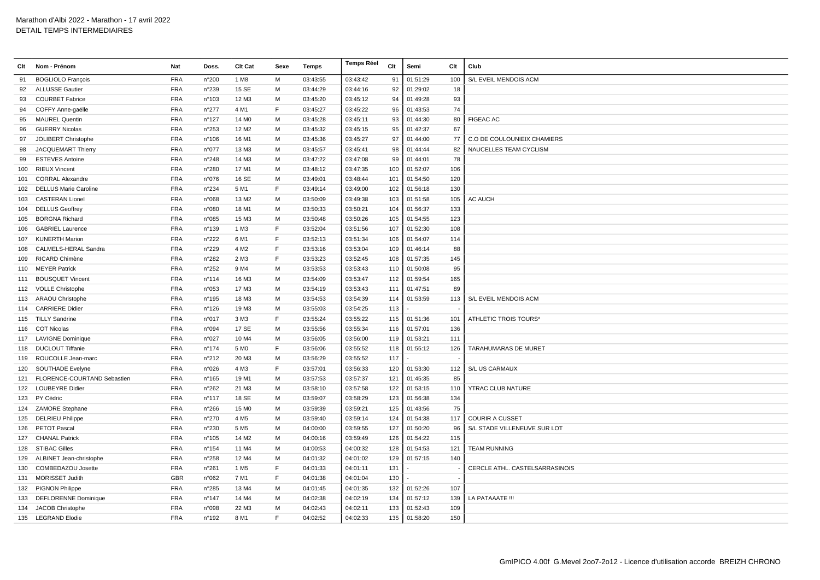| Clt | Nom - Prénom                 | Nat        | Doss.           | Clt Cat           | Sexe | Temps    | <b>Temps Réel</b> | Clt | Semi     | Clt | Club                           |
|-----|------------------------------|------------|-----------------|-------------------|------|----------|-------------------|-----|----------|-----|--------------------------------|
| 91  | <b>BOGLIOLO François</b>     | <b>FRA</b> | n°200           | 1 M <sub>8</sub>  | M    | 03:43:55 | 03:43:42          | 91  | 01:51:29 | 100 | S/L EVEIL MENDOIS ACM          |
| 92  | <b>ALLUSSE Gautier</b>       | <b>FRA</b> | n°239           | 15 SE             | М    | 03:44:29 | 03:44:16          | 92  | 01:29:02 | 18  |                                |
| 93  | <b>COURBET Fabrice</b>       | <b>FRA</b> | n°103           | 12 M3             | M    | 03:45:20 | 03:45:12          | 94  | 01:49:28 | 93  |                                |
| 94  | COFFY Anne-gaëlle            | <b>FRA</b> | n°277           | 4 M1              | F    | 03:45:27 | 03:45:22          | 96  | 01:43:53 | 74  |                                |
| 95  | <b>MAUREL Quentin</b>        | <b>FRA</b> | n°127           | 14 M <sub>0</sub> | м    | 03:45:28 | 03:45:11          | 93  | 01:44:30 | 80  | <b>FIGEAC AC</b>               |
| 96  | <b>GUERRY Nicolas</b>        | <b>FRA</b> | $n^{\circ}253$  | 12 M <sub>2</sub> | M    | 03:45:32 | 03:45:15          | 95  | 01:42:37 | 67  |                                |
| 97  | JOLIBERT Christophe          | <b>FRA</b> | $n^{\circ}106$  | 16 M1             | M    | 03:45:36 | 03:45:27          | 97  | 01:44:00 | 77  | C.O DE COULOUNIEIX CHAMIERS    |
| 98  | JACQUEMART Thierry           | <b>FRA</b> | n°077           | 13 M3             | M    | 03:45:57 | 03:45:41          | 98  | 01:44:44 | 82  | NAUCELLES TEAM CYCLISM         |
| 99  | <b>ESTEVES Antoine</b>       | <b>FRA</b> | $n^{\circ}248$  | 14 M3             | M    | 03:47:22 | 03:47:08          | 99  | 01:44:01 | 78  |                                |
| 100 | <b>RIEUX Vincent</b>         | <b>FRA</b> | n°280           | 17 M1             | м    | 03:48:12 | 03:47:35          | 100 | 01:52:07 | 106 |                                |
| 101 | <b>CORRAL Alexandre</b>      | <b>FRA</b> | n°076           | 16 SE             | M    | 03:49:01 | 03:48:44          | 101 | 01:54:50 | 120 |                                |
| 102 | <b>DELLUS Marie Caroline</b> | <b>FRA</b> | n°234           | 5 M1              | F    | 03:49:14 | 03:49:00          | 102 | 01:56:18 | 130 |                                |
| 103 | <b>CASTERAN Lionel</b>       | <b>FRA</b> | n°068           | 13 M <sub>2</sub> | м    | 03:50:09 | 03:49:38          | 103 | 01:51:58 | 105 | AC AUCH                        |
| 104 | <b>DELLUS Geoffrey</b>       | <b>FRA</b> | n°080           | 18 M1             | M    | 03:50:33 | 03:50:21          | 104 | 01:56:37 | 133 |                                |
| 105 | <b>BORGNA Richard</b>        | <b>FRA</b> | n°085           | 15 M3             | M    | 03:50:48 | 03:50:26          | 105 | 01:54:55 | 123 |                                |
| 106 | <b>GABRIEL Laurence</b>      | <b>FRA</b> | n°139           | 1 M3              | E    | 03:52:04 | 03:51:56          | 107 | 01:52:30 | 108 |                                |
| 107 | <b>KUNERTH Marion</b>        | <b>FRA</b> | n°222           | 6 M1              | E    | 03:52:13 | 03:51:34          | 106 | 01:54:07 | 114 |                                |
| 108 | CALMELS-HERAL Sandra         | <b>FRA</b> | n°229           | 4 M <sub>2</sub>  | E    | 03:53:16 | 03:53:04          | 109 | 01:46:14 | 88  |                                |
| 109 | RICARD Chimène               | <b>FRA</b> | n°282           | 2 M3              | F    | 03:53:23 | 03:52:45          | 108 | 01:57:35 | 145 |                                |
| 110 | <b>MEYER Patrick</b>         | <b>FRA</b> | n°252           | 9 M4              | м    | 03:53:53 | 03:53:43          | 110 | 01:50:08 | 95  |                                |
| 111 | <b>BOUSQUET Vincent</b>      | <b>FRA</b> | $n^{\circ}$ 114 | 16 M3             | м    | 03:54:09 | 03:53:47          | 112 | 01:59:54 | 165 |                                |
|     | 112 VOLLE Christophe         | <b>FRA</b> | n°053           | 17 M3             | M    | 03:54:19 | 03:53:43          | 111 | 01:47:51 | 89  |                                |
|     | 113 ARAOU Christophe         | <b>FRA</b> | n°195           | 18 M3             | M    | 03:54:53 | 03:54:39          | 114 | 01:53:59 | 113 | S/L EVEIL MENDOIS ACM          |
| 114 | <b>CARRIERE Didier</b>       | <b>FRA</b> | n°126           | 19 M3             | M    | 03:55:03 | 03:54:25          | 113 |          |     |                                |
|     | 115 TILLY Sandrine           | <b>FRA</b> | n°017           | 3 M3              | E    | 03:55:24 | 03:55:22          | 115 | 01:51:36 | 101 | ATHLETIC TROIS TOURS*          |
|     | 116 COT Nicolas              | <b>FRA</b> | n°094           | 17 SE             | м    | 03:55:56 | 03:55:34          | 116 | 01:57:01 | 136 |                                |
|     | 117 LAVIGNE Dominique        | <b>FRA</b> | n°027           | 10 M4             | м    | 03:56:05 | 03:56:00          | 119 | 01:53:21 | 111 |                                |
| 118 | <b>DUCLOUT Tiffanie</b>      | <b>FRA</b> | $n^{\circ}$ 174 | 5 M <sub>0</sub>  | F    | 03:56:06 | 03:55:52          | 118 | 01:55:12 | 126 | <b>TARAHUMARAS DE MURET</b>    |
| 119 | ROUCOLLE Jean-marc           | <b>FRA</b> | n°212           | 20 M3             | M    | 03:56:29 | 03:55:52          | 117 |          |     |                                |
| 120 | <b>SOUTHADE Evelyne</b>      | <b>FRA</b> | n°026           | 4 M3              | F    | 03:57:01 | 03:56:33          | 120 | 01:53:30 | 112 | S/L US CARMAUX                 |
| 121 | FLORENCE-COURTAND Sebastien  | <b>FRA</b> | $n^{\circ}165$  | 19 M1             | M    | 03:57:53 | 03:57:37          | 121 | 01:45:35 | 85  |                                |
| 122 | <b>LOUBEYRE Didier</b>       | <b>FRA</b> | n°262           | 21 M3             | м    | 03:58:10 | 03:57:58          | 122 | 01:53:15 | 110 | YTRAC CLUB NATURE              |
|     | 123 PY Cédric                | <b>FRA</b> | n°117           | 18 SE             | м    | 03:59:07 | 03:58:29          | 123 | 01:56:38 | 134 |                                |
|     | 124 ZAMORE Stephane          | <b>FRA</b> | n°266           | 15 M <sub>0</sub> | м    | 03:59:39 | 03:59:21          | 125 | 01:43:56 | 75  |                                |
| 125 | <b>DELRIEU Philippe</b>      | <b>FRA</b> | n°270           | 4 M <sub>5</sub>  | м    | 03:59:40 | 03:59:14          | 124 | 01:54:38 | 117 | <b>COURIR A CUSSET</b>         |
| 126 | <b>PETOT Pascal</b>          | <b>FRA</b> | n°230           | 5 M <sub>5</sub>  | M    | 04:00:00 | 03:59:55          | 127 | 01:50:20 | 96  | S/L STADE VILLENEUVE SUR LOT   |
| 127 | <b>CHANAL Patrick</b>        | <b>FRA</b> | n°105           | 14 M <sub>2</sub> | M    | 04:00:16 | 03:59:49          | 126 | 01:54:22 | 115 |                                |
|     | 128 STIBAC Gilles            | <b>FRA</b> | n°154           | 11 M4             | M    | 04:00:53 | 04:00:32          | 128 | 01:54:53 | 121 | <b>TEAM RUNNING</b>            |
| 129 | ALBINET Jean-christophe      | <b>FRA</b> | n°258           | 12 M4             | M    | 04:01:32 | 04:01:02          | 129 | 01:57:15 | 140 |                                |
| 130 | COMBEDAZOU Josette           | <b>FRA</b> | n°261           | 1 M <sub>5</sub>  | E    | 04:01:33 | 04:01:11          | 131 |          |     | CERCLE ATHL. CASTELSARRASINOIS |
| 131 | <b>MORISSET Judith</b>       | <b>GBR</b> | n°062           | 7 M1              | F    | 04:01:38 | 04:01:04          | 130 |          |     |                                |
|     | 132 PIGNON Philippe          | <b>FRA</b> | n°285           | 13 M4             | м    | 04:01:45 | 04:01:35          | 132 | 01:52:26 | 107 |                                |
| 133 | <b>DEFLORENNE Dominique</b>  | <b>FRA</b> | n°147           | 14 M4             | м    | 04:02:38 | 04:02:19          | 134 | 01:57:12 | 139 | LA PATAAATE !!!                |
| 134 | JACOB Christophe             | <b>FRA</b> | n°098           | 22 M <sub>3</sub> | M    | 04:02:43 | 04:02:11          | 133 | 01:52:43 | 109 |                                |
|     | 135 LEGRAND Elodie           | <b>FRA</b> | n°192           | 8 M1              | E    | 04:02:52 | 04:02:33          | 135 | 01:58:20 | 150 |                                |
|     |                              |            |                 |                   |      |          |                   |     |          |     |                                |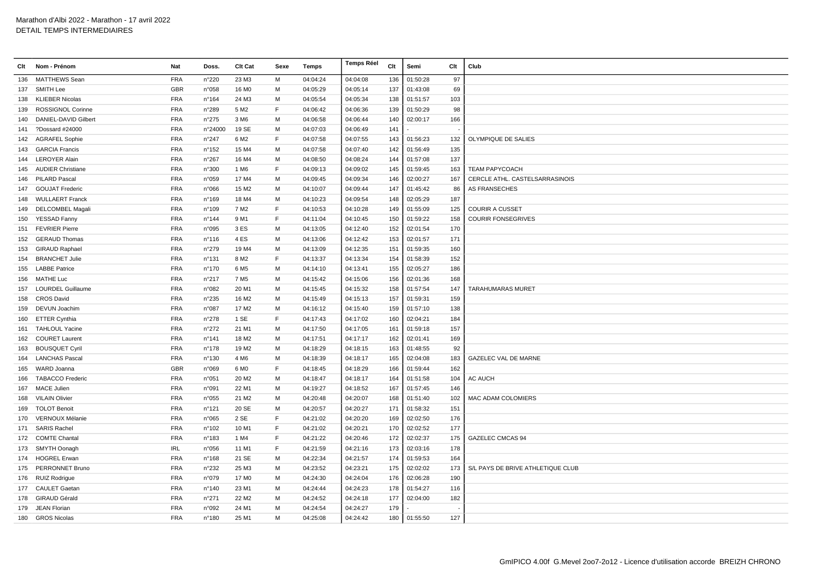| Clt | Nom - Prénom             | Nat        | Doss.           | Clt Cat           | Sexe         | Temps    | <b>Temps Réel</b> | Clt | Semi         | Clt | Club                              |
|-----|--------------------------|------------|-----------------|-------------------|--------------|----------|-------------------|-----|--------------|-----|-----------------------------------|
| 136 | MATTHEWS Sean            | <b>FRA</b> | n°220           | 23 M3             | M            | 04:04:24 | 04:04:08          | 136 | 01:50:28     | 97  |                                   |
| 137 | <b>SMITH Lee</b>         | <b>GBR</b> | n°058           | 16 M <sub>0</sub> | M            | 04:05:29 | 04:05:14          | 137 | 01:43:08     | 69  |                                   |
| 138 | <b>KLIEBER Nicolas</b>   | <b>FRA</b> | n°164           | 24 M3             | M            | 04:05:54 | 04:05:34          | 138 | 01:51:57     | 103 |                                   |
| 139 | <b>ROSSIGNOL Corinne</b> | <b>FRA</b> | n°289           | 5 M <sub>2</sub>  | F            | 04:06:42 | 04:06:36          | 139 | 01:50:29     | 98  |                                   |
| 140 | DANIEL-DAVID Gilbert     | <b>FRA</b> | n°275           | 3 M <sub>6</sub>  | м            | 04:06:58 | 04:06:44          | 140 | 02:00:17     | 166 |                                   |
| 141 | ?Dossard #24000          | <b>FRA</b> | n°24000         | 19 SE             | M            | 04:07:03 | 04:06:49          | 141 |              |     |                                   |
| 142 | <b>AGRAFEL Sophie</b>    | <b>FRA</b> | n°247           | 6 M <sub>2</sub>  | F            | 04:07:58 | 04:07:55          | 143 | 01:56:23     | 132 | OLYMPIQUE DE SALIES               |
| 143 | <b>GARCIA Francis</b>    | <b>FRA</b> | n°152           | 15 M4             | M            | 04:07:58 | 04:07:40          | 142 | 01:56:49     | 135 |                                   |
|     | 144 LEROYER Alain        | <b>FRA</b> | n°267           | 16 M4             | M            | 04:08:50 | 04:08:24          | 144 | 01:57:08     | 137 |                                   |
| 145 | <b>AUDIER Christiane</b> | <b>FRA</b> | n°300           | 1 M <sub>6</sub>  | F            | 04:09:13 | 04:09:02          | 145 | 01:59:45     | 163 | <b>TEAM PAPYCOACH</b>             |
| 146 | <b>PILARD Pascal</b>     | <b>FRA</b> | n°059           | 17 M4             | м            | 04:09:45 | 04:09:34          | 146 | 02:00:27     | 167 | CERCLE ATHL. CASTELSARRASINOIS    |
| 147 | <b>GOUJAT Frederic</b>   | <b>FRA</b> | n°066           | 15 M <sub>2</sub> | M            | 04:10:07 | 04:09:44          | 147 | 01:45:42     | 86  | AS FRANSECHES                     |
| 148 | <b>WULLAERT Franck</b>   | <b>FRA</b> | n°169           | 18 M4             | M            | 04:10:23 | 04:09:54          | 148 | 02:05:29     | 187 |                                   |
|     | 149 DELCOMBEL Magali     | <b>FRA</b> | n°109           | 7 M <sub>2</sub>  | E            | 04:10:53 | 04:10:28          | 149 | 01:55:09     | 125 | <b>COURIR A CUSSET</b>            |
| 150 | YESSAD Fanny             | <b>FRA</b> | n°144           | 9 M1              | F            | 04:11:04 | 04:10:45          | 150 | 01:59:22     | 158 | <b>COURIR FONSEGRIVES</b>         |
| 151 | <b>FEVRIER Pierre</b>    | <b>FRA</b> | n°095           | 3 ES              | м            | 04:13:05 | 04:12:40          | 152 | 02:01:54     | 170 |                                   |
| 152 | <b>GERAUD Thomas</b>     | <b>FRA</b> | $n^{\circ}$ 116 | 4 ES              | M            | 04:13:06 | 04:12:42          | 153 | 02:01:57     | 171 |                                   |
| 153 | <b>GIRAUD Raphael</b>    | <b>FRA</b> | n°279           | 19 M4             | M            | 04:13:09 | 04:12:35          | 151 | 01:59:35     | 160 |                                   |
| 154 | <b>BRANCHET Julie</b>    | <b>FRA</b> | n°131           | 8 M <sub>2</sub>  | E            | 04:13:37 | 04:13:34          | 154 | 01:58:39     | 152 |                                   |
| 155 | <b>LABBE Patrice</b>     | <b>FRA</b> | n°170           | 6 M <sub>5</sub>  | M            | 04:14:10 | 04:13:41          | 155 | 02:05:27     | 186 |                                   |
| 156 | <b>MATHE Luc</b>         | <b>FRA</b> | n°217           | 7 M <sub>5</sub>  | M            | 04:15:42 | 04:15:06          | 156 | 02:01:36     | 168 |                                   |
| 157 | <b>LOURDEL Guillaume</b> | <b>FRA</b> | n°082           | 20 M1             | M            | 04:15:45 | 04:15:32          | 158 | 01:57:54     | 147 | <b>TARAHUMARAS MURET</b>          |
| 158 | <b>CROS David</b>        | <b>FRA</b> | n°235           | 16 M <sub>2</sub> | M            | 04:15:49 | 04:15:13          | 157 | 01:59:31     | 159 |                                   |
| 159 | DEVUN Joachim            | <b>FRA</b> | n°087           | 17 M2             | м            | 04:16:12 | 04:15:40          | 159 | 01:57:10     | 138 |                                   |
| 160 | <b>ETTER Cynthia</b>     | <b>FRA</b> | $n^{\circ}278$  | 1 SE              | $\mathsf{F}$ | 04:17:43 | 04:17:02          | 160 | 02:04:21     | 184 |                                   |
| 161 | <b>TAHLOUL Yacine</b>    | <b>FRA</b> | n°272           | 21 M1             | M            | 04:17:50 | 04:17:05          | 161 | 01:59:18     | 157 |                                   |
| 162 | <b>COURET Laurent</b>    | <b>FRA</b> | $n^{\circ}$ 141 | 18 M <sub>2</sub> | M            | 04:17:51 | 04:17:17          | 162 | 02:01:41     | 169 |                                   |
| 163 | <b>BOUSQUET Cyril</b>    | <b>FRA</b> | n°178           | 19 M <sub>2</sub> | M            | 04:18:29 | 04:18:15          | 163 | 01:48:55     | 92  |                                   |
| 164 | <b>LANCHAS Pascal</b>    | <b>FRA</b> | n°130           | 4 M <sub>6</sub>  | M            | 04:18:39 | 04:18:17          | 165 | 02:04:08     | 183 | <b>GAZELEC VAL DE MARNE</b>       |
| 165 | WARD Joanna              | <b>GBR</b> | n°069           | 6 M <sub>0</sub>  | E            | 04:18:45 | 04:18:29          | 166 | 01:59:44     | 162 |                                   |
| 166 | <b>TABACCO Frederic</b>  | <b>FRA</b> | n°051           | 20 M <sub>2</sub> | M            | 04:18:47 | 04:18:17          | 164 | 01:51:58     | 104 | AC AUCH                           |
| 167 | <b>MACE Julien</b>       | <b>FRA</b> | n°091           | 22 M1             | M            | 04:19:27 | 04:18:52          | 167 | 01:57:45     | 146 |                                   |
| 168 | <b>VILAIN Olivier</b>    | <b>FRA</b> | n°055           | 21 M <sub>2</sub> | M            | 04:20:48 | 04:20:07          | 168 | 01:51:40     | 102 | <b>MAC ADAM COLOMIERS</b>         |
| 169 | <b>TOLOT Benoit</b>      | <b>FRA</b> | n°121           | 20 SE             | M            | 04:20:57 | 04:20:27          | 171 | 01:58:32     | 151 |                                   |
| 170 | VERNOUX Mélanie          | <b>FRA</b> | n°065           | 2 SE              | F            | 04:21:02 | 04:20:20          | 169 | 02:02:50     | 176 |                                   |
|     | 171 SARIS Rachel         | <b>FRA</b> | n°102           | 10 M1             | F            | 04:21:02 | 04:20:21          | 170 | 02:02:52     | 177 |                                   |
|     | 172 COMTE Chantal        | <b>FRA</b> | n°183           | 1 M4              | F            | 04:21:22 | 04:20:46          | 172 | 02:02:37     | 175 | GAZELEC CMCAS 94                  |
|     | 173 SMYTH Oonagh         | <b>IRL</b> | n°056           | 11 M1             | E            | 04:21:59 | 04:21:16          | 173 | 02:03:16     | 178 |                                   |
|     | 174 HOGREL Erwan         | <b>FRA</b> | n°168           | 21 SE             | M            | 04:22:34 | 04:21:57          | 174 | 01:59:53     | 164 |                                   |
| 175 | PERRONNET Bruno          | <b>FRA</b> | n°232           | 25 M3             | M            | 04:23:52 | 04:23:21          | 175 | 02:02:02     | 173 | S/L PAYS DE BRIVE ATHLETIQUE CLUB |
|     | 176 RUIZ Rodrigue        | <b>FRA</b> | n°079           | 17 M <sub>0</sub> | M            | 04:24:30 | 04:24:04          | 176 | 02:06:28     | 190 |                                   |
|     | 177 CAULET Gaetan        | <b>FRA</b> | n°140           | 23 M1             | M            | 04:24:44 | 04:24:23          | 178 | 01:54:27     | 116 |                                   |
|     | 178 GIRAUD Gérald        | <b>FRA</b> | $n^{\circ}271$  | 22 M <sub>2</sub> | M            | 04:24:52 | 04:24:18          | 177 | 02:04:00     | 182 |                                   |
| 179 | <b>JEAN Florian</b>      | <b>FRA</b> | n°092           | 24 M1             | м            | 04:24:54 | 04:24:27          | 179 |              |     |                                   |
|     | 180 GROS Nicolas         | <b>FRA</b> | n°180           | 25 M1             | M            | 04:25:08 | 04:24:42          |     | 180 01:55:50 | 127 |                                   |
|     |                          |            |                 |                   |              |          |                   |     |              |     |                                   |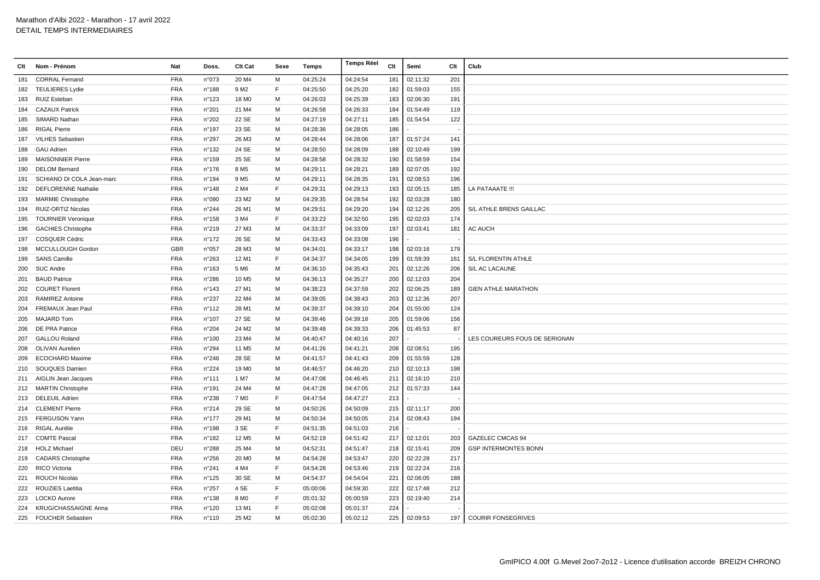|     | Clt Nom - Prénom            | <b>Nat</b> | Doss.           | <b>Clt Cat</b>    | Sexe | Temps    | <b>Temps Réel</b> | Clt | Semi     | Clt | Club                           |
|-----|-----------------------------|------------|-----------------|-------------------|------|----------|-------------------|-----|----------|-----|--------------------------------|
| 181 | <b>CORRAL Fernand</b>       | <b>FRA</b> | n°073           | 20 M4             | M    | 04:25:24 | 04:24:54          | 181 | 02:11:32 | 201 |                                |
| 182 | <b>TEULIERES Lydie</b>      | <b>FRA</b> | n°188           | 9 M <sub>2</sub>  | F    | 04:25:50 | 04:25:20          | 182 | 01:59:03 | 155 |                                |
| 183 | RUIZ Esteban                | <b>FRA</b> | $n^{\circ}$ 123 | 18 M <sub>0</sub> | м    | 04:26:03 | 04:25:39          | 183 | 02:06:30 | 191 |                                |
| 184 | <b>CAZAUX Patrick</b>       | <b>FRA</b> | n°201           | 21 M4             | м    | 04:26:58 | 04:26:33          | 184 | 01:54:49 | 119 |                                |
| 185 | SIMARD Nathan               | <b>FRA</b> | n°202           | 22 SE             | M    | 04:27:19 | 04:27:11          | 185 | 01:54:54 | 122 |                                |
| 186 | <b>RIGAL Pierre</b>         | <b>FRA</b> | n°197           | 23 SE             | M    | 04:28:36 | 04:28:05          | 186 |          |     |                                |
| 187 | <b>VILHES Sebastien</b>     | <b>FRA</b> | n°297           | 26 M3             | M    | 04:28:44 | 04:28:06          | 187 | 01:57:24 | 141 |                                |
| 188 | <b>GAU Adrien</b>           | <b>FRA</b> | $n^{\circ}$ 132 | 24 SE             | м    | 04:28:50 | 04:28:09          | 188 | 02:10:49 | 199 |                                |
| 189 | <b>MAISONNIER Pierre</b>    | <b>FRA</b> | n°159           | 25 SE             | M    | 04:28:58 | 04:28:32          | 190 | 01:58:59 | 154 |                                |
| 190 | <b>DELOM Bernard</b>        | <b>FRA</b> | $n^{\circ}$ 176 | 8 M <sub>5</sub>  | M    | 04:29:11 | 04:28:21          | 189 | 02:07:05 | 192 |                                |
| 191 | SCHIANO DI COLA Jean-marc   | <b>FRA</b> | n°194           | 9 M <sub>5</sub>  | M    | 04:29:11 | 04:28:35          | 191 | 02:08:53 | 196 |                                |
| 192 | <b>DEFLORENNE Nathalie</b>  | <b>FRA</b> | n°148           | 2 M4              | E    | 04:29:31 | 04:29:13          | 193 | 02:05:15 | 185 | LA PATAAATE !!!                |
| 193 | <b>MARMIE Christophe</b>    | <b>FRA</b> | n°090           | 23 M <sub>2</sub> | м    | 04:29:35 | 04:28:54          | 192 | 02:03:28 | 180 |                                |
| 194 | RUIZ-ORTIZ Nicolas          | <b>FRA</b> | $n^{\circ}244$  | 26 M1             | M    | 04:29:51 | 04:29:20          | 194 | 02:12:26 | 205 | <b>S/L ATHLE BRENS GAILLAC</b> |
| 195 | <b>TOURNIER Veronique</b>   | <b>FRA</b> | $n^{\circ}$ 158 | 3 M4              | F    | 04:33:23 | 04:32:50          | 195 | 02:02:03 | 174 |                                |
| 196 | <b>GACHIES Christophe</b>   | <b>FRA</b> | n°219           | 27 M3             | M    | 04:33:37 | 04:33:09          | 197 | 02:03:41 | 181 | <b>AC AUCH</b>                 |
| 197 | <b>COSQUER Cédric</b>       | <b>FRA</b> | $n^{\circ}$ 172 | 26 SE             | M    | 04:33:43 | 04:33:08          | 196 |          |     |                                |
| 198 | MCCULLOUGH Gordon           | <b>GBR</b> | n°057           | 28 M3             | м    | 04:34:01 | 04:33:17          | 198 | 02:03:16 | 179 |                                |
| 199 | <b>SANS Camille</b>         | <b>FRA</b> | n°263           | 12 M1             | E    | 04:34:37 | 04:34:05          | 199 | 01:59:39 | 161 | S/L FLORENTIN ATHLE            |
| 200 | <b>SUC Andre</b>            | <b>FRA</b> | n°163           | 5 M6              | M    | 04:36:10 | 04:35:43          | 201 | 02:12:26 | 206 | S/L AC LACAUNE                 |
| 201 | <b>BAUD Patrice</b>         | <b>FRA</b> | n°286           | 10 M <sub>5</sub> | M    | 04:36:13 | 04:35:27          | 200 | 02:12:03 | 204 |                                |
| 202 | <b>COURET Florent</b>       | <b>FRA</b> | $n^{\circ}$ 143 | 27 M1             | M    | 04:38:23 | 04:37:59          | 202 | 02:06:25 | 189 | <b>GIEN ATHLE MARATHON</b>     |
|     | 203 RAMIREZ Antoine         | <b>FRA</b> | n°237           | 22 M4             | м    | 04:39:05 | 04:38:43          | 203 | 02:12:36 | 207 |                                |
| 204 | FREMAUX Jean Paul           | <b>FRA</b> | n°112           | 28 M1             | м    | 04:39:37 | 04:39:10          | 204 | 01:55:00 | 124 |                                |
| 205 | <b>MAJARD Tom</b>           | <b>FRA</b> | n°107           | 27 SE             | M    | 04:39:46 | 04:39:18          | 205 | 01:59:06 | 156 |                                |
| 206 | <b>DE PRA Patrice</b>       | <b>FRA</b> | n°204           | 24 M <sub>2</sub> | м    | 04:39:48 | 04:39:33          | 206 | 01:45:53 | 87  |                                |
| 207 | <b>GALLOU Roland</b>        | <b>FRA</b> | $n^{\circ}100$  | 23 M4             | M    | 04:40:47 | 04:40:16          | 207 |          |     | LES COUREURS FOUS DE SERIGNAN  |
| 208 | <b>OLIVAN Aurelien</b>      | <b>FRA</b> | n°294           | 11 M <sub>5</sub> | м    | 04:41:26 | 04:41:21          | 208 | 02:08:51 | 195 |                                |
| 209 | <b>ECOCHARD Maxime</b>      | <b>FRA</b> | $n^{\circ}246$  | 28 SE             | м    | 04:41:57 | 04:41:43          | 209 | 01:55:59 | 128 |                                |
| 210 | SOUQUES Damien              | <b>FRA</b> | n°224           | 19 M <sub>0</sub> | M    | 04:46:57 | 04:46:20          | 210 | 02:10:13 | 198 |                                |
| 211 | AIGLIN Jean Jacques         | <b>FRA</b> | n°111           | 1 M7              | м    | 04:47:08 | 04:46:45          | 211 | 02:16:10 | 210 |                                |
|     | 212 MARTIN Christophe       | <b>FRA</b> | n°191           | 24 M4             | M    | 04:47:28 | 04:47:05          | 212 | 01:57:33 | 144 |                                |
|     | 213 DELEUIL Adrien          | <b>FRA</b> | n°238           | 7 M <sub>0</sub>  | E    | 04:47:54 | 04:47:27          | 213 |          |     |                                |
| 214 | <b>CLEMENT Pierre</b>       | <b>FRA</b> | n°214           | 29 SE             | м    | 04:50:26 | 04:50:09          | 215 | 02:11:17 | 200 |                                |
|     | 215 FERGUSON Yann           | <b>FRA</b> | $n^{\circ}$ 177 | 29 M1             | M    | 04:50:34 | 04:50:05          | 214 | 02:08:43 | 194 |                                |
|     | 216 RIGAL Aurélie           | <b>FRA</b> | n°198           | 3 SE              | F    | 04:51:35 | 04:51:03          | 216 |          |     |                                |
|     | 217 COMTE Pascal            | <b>FRA</b> | n°182           | 12 M <sub>5</sub> | M    | 04:52:19 | 04:51:42          | 217 | 02:12:01 | 203 | <b>GAZELEC CMCAS 94</b>        |
|     | 218 HOLZ Michael            | DEU        | $n^{\circ}288$  | 25 M4             | M    | 04:52:31 | 04:51:47          | 218 | 02:15:41 | 209 | <b>GSP INTERMONTES BONN</b>    |
|     | 219 CADARS Christophe       | <b>FRA</b> | $n^{\circ}256$  | 20 M <sub>0</sub> | м    | 04:54:28 | 04:53:47          | 220 | 02:22:28 | 217 |                                |
| 220 | <b>RICO Victoria</b>        | <b>FRA</b> | n°241           | 4 M4              | E    | 04:54:28 | 04:53:46          | 219 | 02:22:24 | 216 |                                |
| 221 | <b>ROUCH Nicolas</b>        | <b>FRA</b> | $n^{\circ}$ 125 | 30 SE             | M    | 04:54:37 | 04:54:04          | 221 | 02:06:05 | 188 |                                |
| 222 | ROUZIES Laetitia            | <b>FRA</b> | n°257           | 4 SE              | F    | 05:00:06 | 04:59:30          | 222 | 02:17:48 | 212 |                                |
|     | 223 LOCKO Aurore            | <b>FRA</b> | $n^{\circ}$ 138 | 8 M <sub>0</sub>  | F    | 05:01:32 | 05:00:59          | 223 | 02:19:40 | 214 |                                |
| 224 | <b>KRUG/CHASSAIGNE Anna</b> | <b>FRA</b> | n°120           | 13 M1             | E    | 05:02:08 | 05:01:37          | 224 |          |     |                                |
|     | 225 FOUCHER Sebastien       | <b>FRA</b> | $n^{\circ}110$  | 25 M <sub>2</sub> | M    | 05:02:30 | 05:02:12          | 225 | 02:09:53 | 197 | COURIR FONSEGRIVES             |
|     |                             |            |                 |                   |      |          |                   |     |          |     |                                |